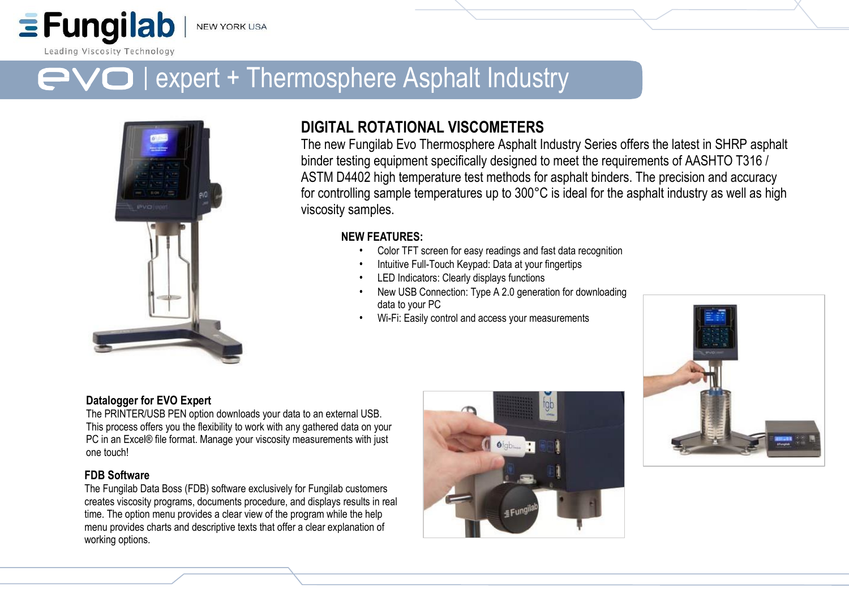Leading Viscosity Technology

 $\equiv$  Fungilab

# $\boldsymbol{\ominus}$  | expert + Thermosphere Asphalt Industry



# **DIGITAL ROTATIONAL VISCOMETERS**

The new Fungilab Evo Thermosphere Asphalt Industry Series offers the latest in SHRP asphalt binder testing equipment specifically designed to meet the requirements of AASHTO T316 / ASTM D4402 high temperature test methods for asphalt binders. The precision and accuracy for controlling sample temperatures up to 300°C is ideal for the asphalt industry as well as high viscosity samples.

# **NEW FEATURES:**

- Color TFT screen for easy readings and fast data recognition
- Intuitive Full-Touch Keypad: Data at your fingertips
- LED Indicators: Clearly displays functions
- New USB Connection: Type A 2.0 generation for downloading data to your PC
- Wi-Fi: Easily control and access your measurements



# **Datalogger for EVO Expert**

The PRINTER/USB PEN option downloads your data to an external USB. This process offers you the flexibility to work with any gathered data on your PC in an Excel® file format. Manage your viscosity measurements with just one touch!

# **FDB Software**

The Fungilab Data Boss (FDB) software exclusively for Fungilab customers creates viscosity programs, documents procedure, and displays results in real time. The option menu provides a clear view of the program while the help menu provides charts and descriptive texts that offer a clear explanation of working options.